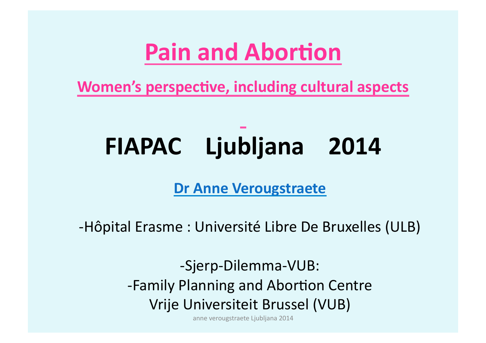### **Pain and Abortion**

**Women's perspective, including cultural aspects** 

# FIAPAC Ljubljana 2014

#### **Dr Anne Verougstraete**

-Hôpital Erasme: Université Libre De Bruxelles (ULB)

-Sjerp-Dilemma-VUB: -Family Planning and Abortion Centre Vrije Universiteit Brussel (VUB)

anne verougstraete Ljubljana 2014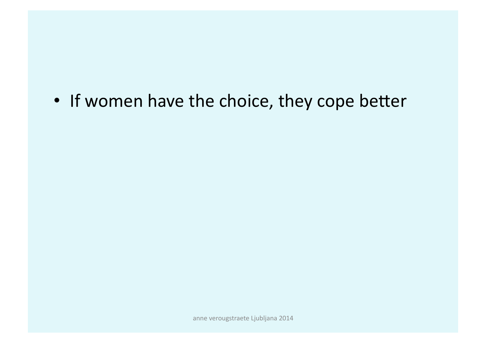#### • If women have the choice, they cope better

anne verougstraete Ljubljana 2014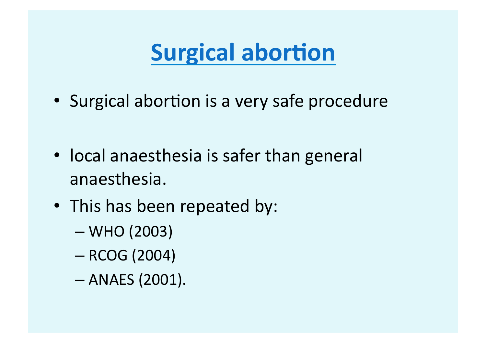### **Surgical abortion**

- Surgical abortion is a very safe procedure
- local anaesthesia is safer than general anaesthesia.))
- This has been repeated by:
	- $-$  WHO (2003)
	- $-$  RCOG (2004)
	- $-$  ANAES (2001).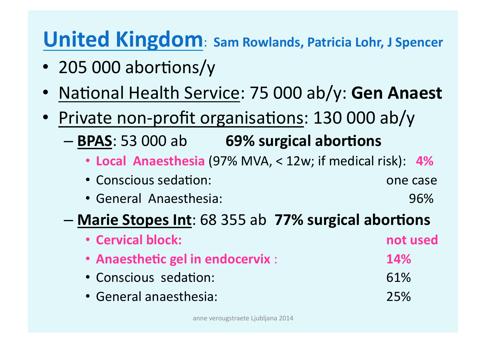### **United Kingdom: Sam Rowlands, Patricia Lohr, J Spencer**

- 205 000 abortions/y
- National Health Service: 75 000 ab/y: Gen Anaest
- Private non-profit organisations:  $130000$  ab/y
	- **BPAS**:)53)000)ab )))**69%%surgical%abor+ons**
		- Local Anaesthesia (97% MVA, < 12w; if medical risk): 4%
		- Conscious)sedaFon:))) )))one)case))
		- General Anaesthesia: 1397 (1998)

#### – **Marie%Stopes Int**:)68)355)ab))**77%%surgical%abor+ons%**

- **Cervical block: We are absolute that the set of the set of the set of the set of the set of the set of the set of the set of the set of the set of the set of the set of the set of the set of the set of the set of the** • Anaesthetic gel in endocervix : **14%** • Conscious))sedaFon: )))61%)
- General anaesthesia:  $\sim$  25%)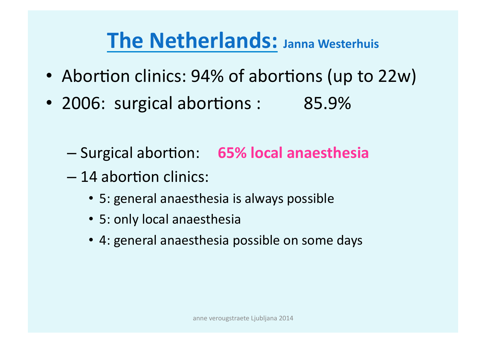### **The Netherlands: Janna Westerhuis**

- Abortion clinics:  $94\%$  of abortions (up to 22w)
- 2006: surgical abortions: 85.9%
	- $-$  Surgical abortion: 65% local anaesthesia
	- $-14$  abortion clinics:
		- 5: general anaesthesia is always possible
		- 5: only local anaesthesia
		- 4: general anaesthesia possible on some days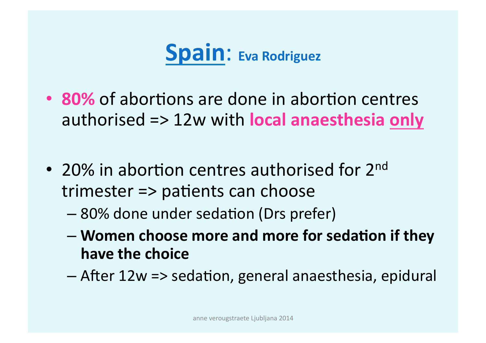

- 80% of abortions are done in abortion centres authorised => 12w with local anaesthesia only
- 20% in abortion centres authorised for  $2^{nd}$ trimester $\Rightarrow$  patients can choose
	- 80% done under sedation (Drs prefer)
	- $-$  Women choose more and more for sedation if they **have the choice**
	- After 12w => sedation, general anaesthesia, epidural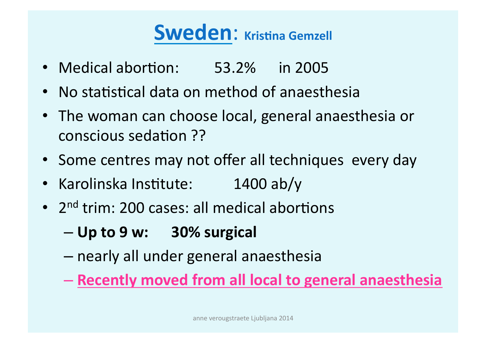### **Sweden: Kristina Gemzell**

- Medical abortion: 53.2% in 2005
- No statistical data on method of anaesthesia
- The woman can choose local, general anaesthesia or conscious sedation ??
- Some centres may not offer all techniques every day
- Karolinska Institute: 1400 ab/y
- $2<sup>nd</sup>$  trim: 200 cases: all medical abortions
	- $-$  Up to 9 w: 30% surgical
	- nearly)all)under)general)anaesthesia)

 $-$  Recently moved from all local to general anaesthesia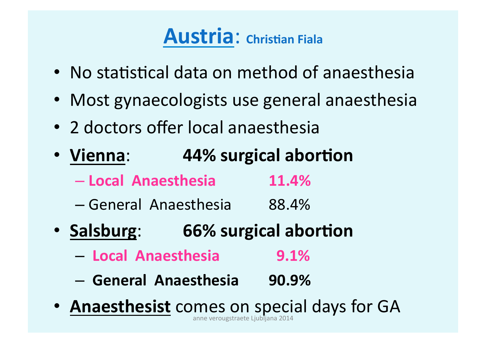### Austria: Christian Fiala

- No statistical data on method of anaesthesia
- Most gynaecologists use general anaesthesia
- 2 doctors offer local anaesthesia
- Vienna: 44% surgical abortion
	- **Local%%Anaesthesia% 11.4%%**
	- General))Anaesthesia 88.4%)
- Salsburg: 66% surgical abortion
	- **Local%%Anaesthesia% %%9.1%%**
	- **General%%Anaesthesia 90.9%%**
- **Anaesthesist** comes on special days for GA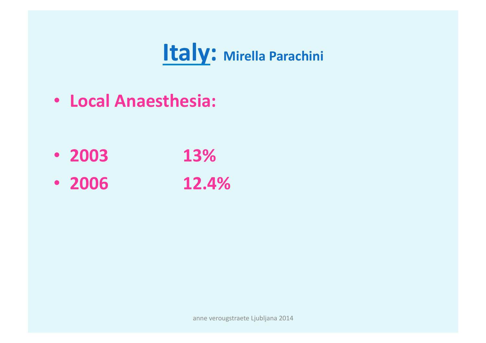### **Italy: Mirella Parachini**

• **Local%Anaesthesia:%**

- **2003 13%%**
- **2006 12.4%**

anne verougstraete Ljubljana 2014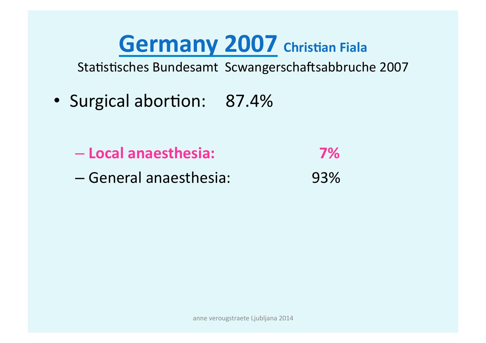### **Germany 2007 Christian Fiala**

Statistisches Bundesamt Scwangerschaftsabbruche 2007

- Surgical abortion: 87.4%
	- **Local%anaesthesia: % %%%7%%**
	- General)anaesthesia: 93%)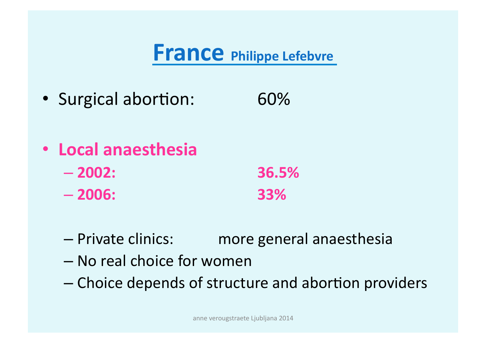### **France Philippe Lefebvre**

- Surgical abortion: 60%
- **Local anaesthesia** 
	- **2002: %%%36.5%%**
	- **2006: %%%33%%**
	- Private clinics: ) more general anaesthesia
	- No real choice for women
	- Choice depends of structure and abortion providers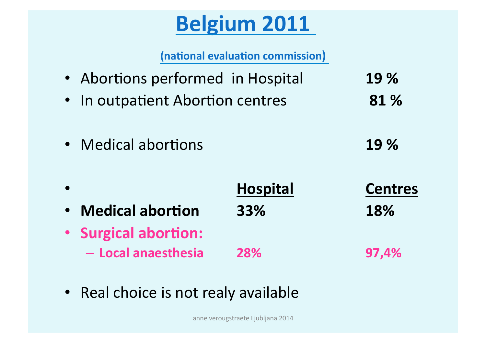### **Belgium%2011%**

**(national evaluation commission)** 

- Abortions performed in Hospital **19%**
- In outpatient Abortion centres **81%**
- Medical abortions **19%**
- ))) **Hospital**))))))))) **Centres%** • **Medical%abor+on 33% % %18%**)))))))))))))))))))))))))))))))))))))))))))))))))))))))))))))))) • Surgical abortion: – **Local%anaesthesia 28% % %97,4%%**
- Real choice is not realy available

anne verougstraete Ljubljana 2014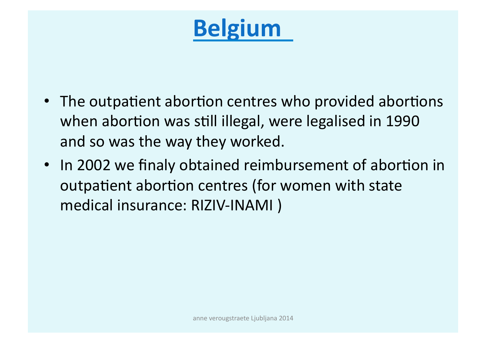# **Belgium**

- The outpatient abortion centres who provided abortions when abortion was still illegal, were legalised in 1990 and so was the way they worked.
- In 2002 we finaly obtained reimbursement of abortion in outpatient abortion centres (for women with state medical insurance: RIZIV-INAMI)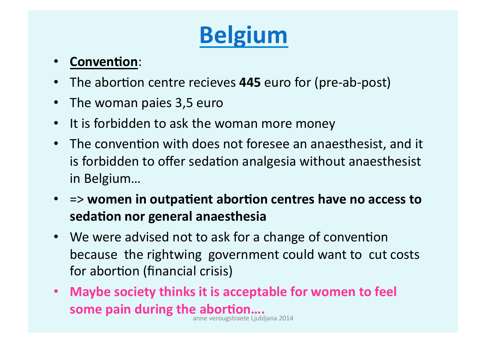# **Belgium**

#### • **Convention:**

- The abortion centre recieves 445 euro for (pre-ab-post)
- The woman paies 3,5 euro
- It is forbidden to ask the woman more money
- The convention with does not foresee an anaesthesist, and it is forbidden to offer sedation analgesia without anaesthesist in Belgium...
- $\Rightarrow$  women in outpatient abortion centres have no access to sedation nor general anaesthesia
- We were advised not to ask for a change of convention because the rightwing government could want to cut costs for abortion (financial crisis)
- Maybe society thinks it is acceptable for women to feel **some pain during the abortion.... some pain during the abortion....**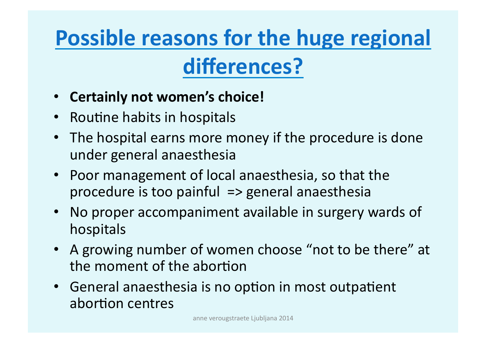# **Possible reasons for the huge regional**

### **differences?**

- Certainly not women's choice!
- Routine habits in hospitals
- The hospital earns more money if the procedure is done under general anaesthesia
- Poor management of local anaesthesia, so that the procedure is too painful  $\Rightarrow$  general anaesthesia
- No proper accompaniment available in surgery wards of hospitals
- A growing number of women choose "not to be there" at the moment of the abortion
- General anaesthesia is no option in most outpatient abortion centres

anne verougstraete Ljubljana 2014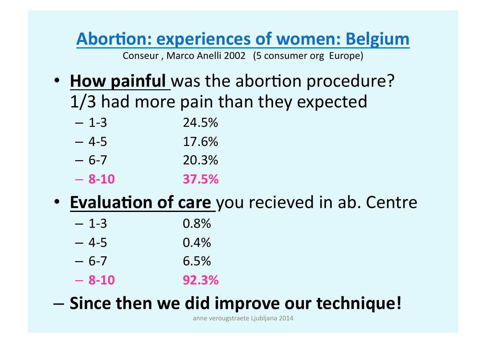#### **Abortion: experiences of women: Belgium**

Conseur, Marco Anelli 2002 (5 consumer org Europe)

• **How painful** was the abortion procedure?  $1/3$  had more pain than they expected

| — 1-3   | 24.5% |
|---------|-------|
| — 4-5   | 17.6% |
| $-6-7$  | 20.3% |
| $-8-10$ | 37.5% |

• **Evaluation of care** you recieved in ab. Centre

| $-1-3$  | 0.8%  |
|---------|-------|
| - 4-5   | 0.4%  |
| $-6-7$  | 6.5%  |
| $-8-10$ | 92.3% |

 $-$  Since then we did improve our technique!

anne verougstraete Ljubljana 2014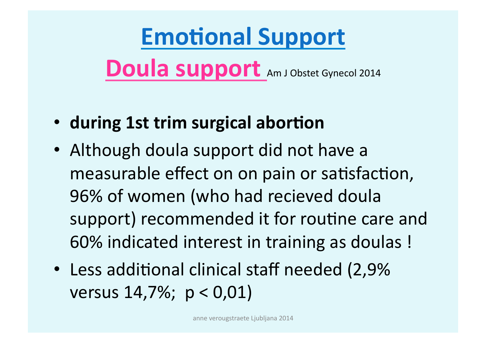# **Emotional Support**

**Doula support** Am J Obstet Gynecol 2014

- during 1st trim surgical abortion
- Although doula support did not have a measurable effect on on pain or satisfaction, 96% of women (who had recieved doula support) recommended it for routine care and 60% indicated interest in training as doulas!
- Less additional clinical staff needed (2,9%) versus  $14,7\%$ ;  $p < 0,01$ )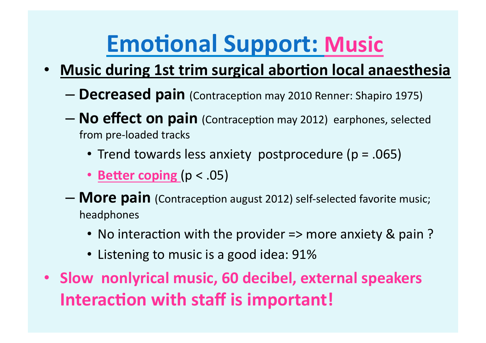# **Emotional Support: Music**

- Music during 1st trim surgical abortion local anaesthesia
	- **Decreased pain** (Contraception may 2010 Renner: Shapiro 1975)
	- **No effect on pain** (Contraception may 2012) earphones, selected from pre-loaded tracks
		- Trend towards less anxiety postprocedure ( $p = .065$ )
		- **Better coping** (p < .05)
	- **More pain** (Contraception august 2012) self-selected favorite music; headphones)
		- No interaction with the provider => more anxiety & pain?
		- Listening to music is a good idea: 91%
- Slow nonlyrical music, 60 decibel, external speakers Interaction with staff is important!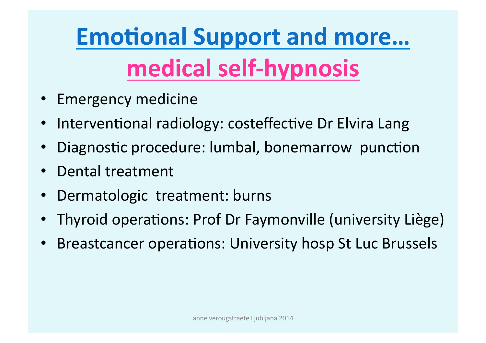# **Emotional Support and more...** medical self-hypnosis

- Emergency medicine
- Interventional radiology: costeffective Dr Elvira Lang
- Diagnostic procedure: lumbal, bonemarrow punction
- Dental treatment
- Dermatologic treatment: burns
- Thyroid operations: Prof Dr Faymonville (university Liège)
- Breastcancer operations: University hosp St Luc Brussels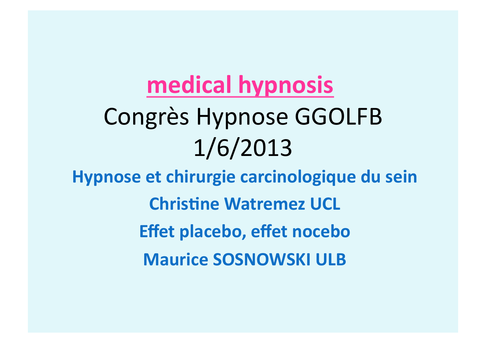# **medical hypnosis** Congrès Hypnose GGOLFB 1/6/2013

**Hypnose et chirurgie carcinologique du sein Christine Watremez UCL Effet placebo, effet nocebo Maurice SOSNOWSKI ULB**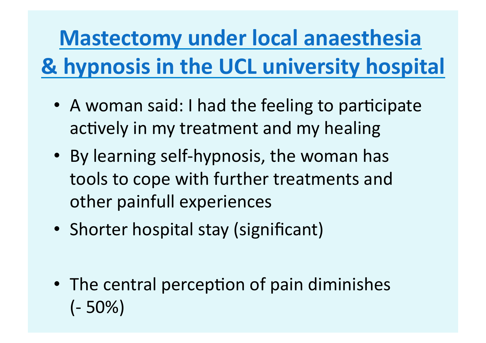# **Mastectomy under local anaesthesia & hypnosis in the UCL university hospital**

- A woman said: I had the feeling to participate actively in my treatment and my healing
- By learning self-hypnosis, the woman has tools to cope with further treatments and other painfull experiences
- Shorter hospital stay (significant)
- The central perception of pain diminishes  $(-50\%)$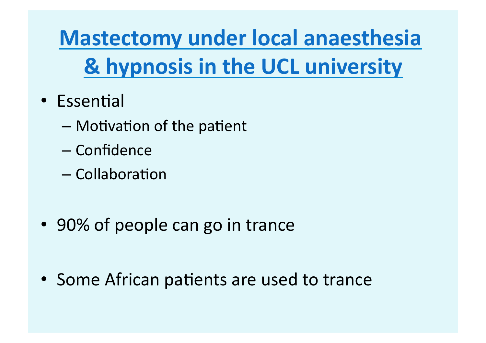**Mastectomy under local anaesthesia & hypnosis in the UCL university** 

- $\cdot$  Essential
	- $-$  Motivation of the patient
	- Confidence))
	- $-$  Collaboration
- 90% of people can go in trance

• Some African patients are used to trance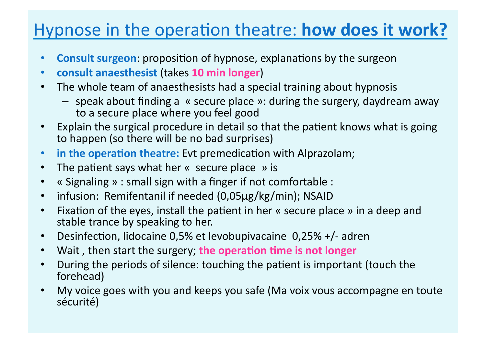#### Hypnose in the operation theatre: **how does it work?**

- **Consult surgeon**: proposition of hypnose, explanations by the surgeon
- **consult%anaesthesist** (takes)**10%min%longer**))
- The whole team of anaesthesists had a special training about hypnosis
	- $-$  speak about finding a  $\kappa$  secure place »: during the surgery, daydream away to a secure place where you feel good
- Explain the surgical procedure in detail so that the patient knows what is going to happen (so there will be no bad surprises)
- **in the operation theatre:** Evt premedication with Alprazolam;
- The patient says what her  $\kappa$  secure place  $\kappa$  is
- « Signaling » : small sign with a finger if not comfortable :
- infusion: Remifentanil if needed (0,05µg/kg/min); NSAID
- Fixation of the eyes, install the patient in her « secure place » in a deep and stable trance by speaking to her.
- Desinfection, lidocaine 0,5% et levobupivacaine  $\,$  0,25% +/- adren
- Wait, then start the surgery; the operation time is not longer
- During the periods of silence: touching the patient is important (touch the forehead))
- My voice goes with you and keeps you safe (Ma voix vous accompagne en toute sécurité)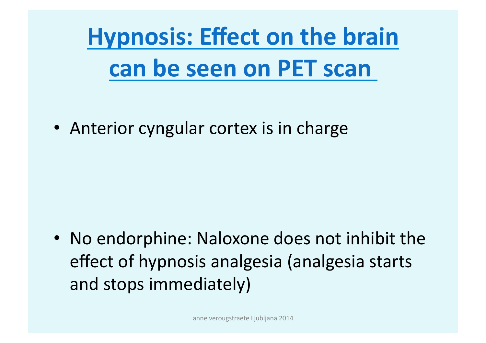**Hypnosis: Effect on the brain can be seen on PET scan** 

• Anterior cyngular cortex is in charge

• No endorphine: Naloxone does not inhibit the effect of hypnosis analgesia (analgesia starts and stops immediately)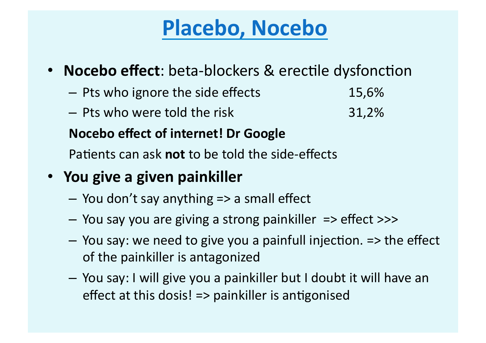### Placebo, Nocebo

- **Nocebo effect**: beta-blockers & erectile dysfonction
	- Pts who ignore the side effects 15,6%
	- Pts who were told the risk and the state is a state 31,2%

#### **Nocebo effect of internet! Dr Google**

Patients can ask **not** to be told the side-effects

#### • You give a given painkiller

- $-$  You don't say anything  $\Rightarrow$  a small effect
- You say you are giving a strong painkiller => effect >>>
- $-$  You say: we need to give you a painfull injection.  $\Rightarrow$  the effect of the painkiller is antagonized
- You)say:)I)will)give)you)a)painkiller)but)I)doubt)it)will)have)an) effect at this dosis!  $\Rightarrow$  painkiller is antigonised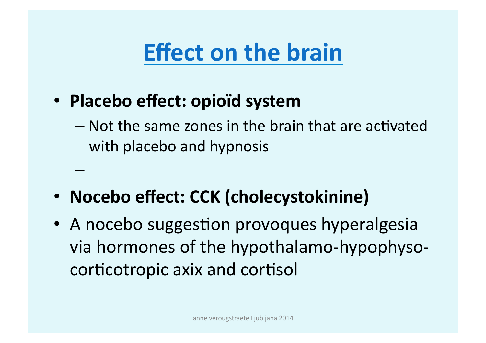### **Effect on the brain**

• **Placebo effect: opioïd system** 

– )))

- $-$  Not the same zones in the brain that are activated with placebo and hypnosis
- **Nocebo effect: CCK (cholecystokinine)**
- A nocebo suggestion provoques hyperalgesia via hormones of the hypothalamo-hypophysocorticotropic axix and cortisol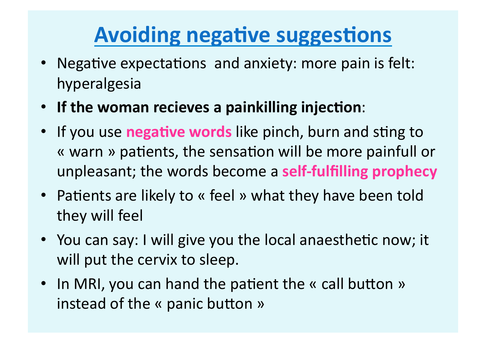### **Avoiding negative suggestions**

- Negative expectations and anxiety: more pain is felt: hyperalgesia)
- If the woman recieves a painkilling injection:
- If you use **negative words** like pinch, burn and sting to « warn » patients, the sensation will be more painfull or unpleasant; the words become a **self-fulfilling prophecy**
- Patients are likely to « feel » what they have been told they will feel
- You can say: I will give you the local anaesthetic now; it will put the cervix to sleep.
- In MRI, you can hand the patient the « call button » instead of the « panic button »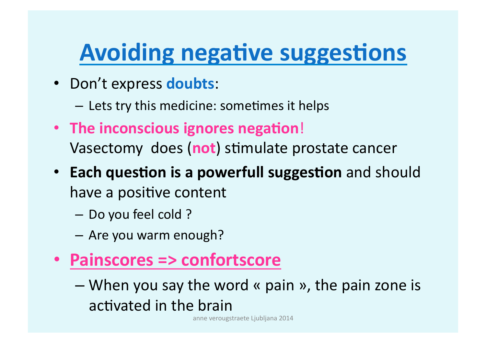# **Avoiding negative suggestions**

- Don't express doubts:
	- Lets try this medicine: sometimes it helps
- The inconscious ignores negation! Vasectomy does (not) stimulate prostate cancer
- **Each question is a powerfull suggestion** and should have a positive content
	- Do you feel cold?
	- Are you warm enough?
- **Painscores => confortscore** 
	- When you say the word « pain », the pain zone is activated in the brain

anne verougstraete Ljubljana 2014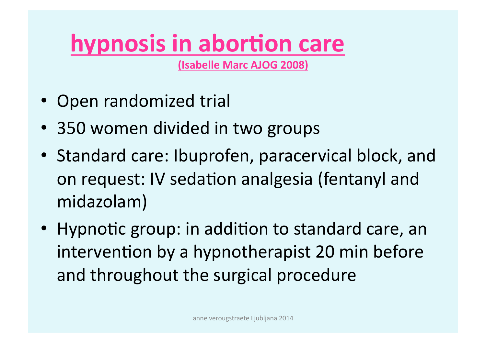# **hypnosis in abortion care**

**(Isabelle%Marc%AJOG%2008)**

- Open randomized trial
- 350 women divided in two groups
- Standard care: Ibuprofen, paracervical block, and on request: IV sedation analgesia (fentanyl and midazolam))
- Hypnotic group: in addition to standard care, an intervention by a hypnotherapist 20 min before and throughout the surgical procedure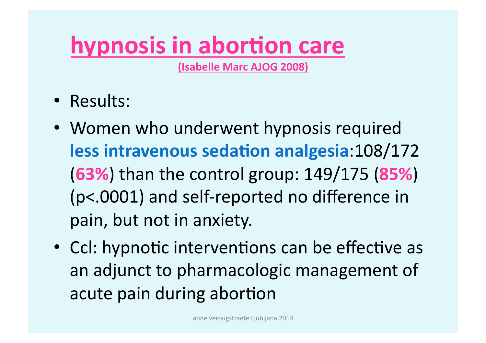# **hypnosis in abortion care**

**(Isabelle%Marc%AJOG%2008)**

- Results:
- Women who underwent hypnosis required less intravenous sedation analgesia: 108/172 **(63%)** than the control group: 149/175 (85%)  $(p<.0001)$  and self-reported no difference in pain, but not in anxiety.
- Ccl: hypnotic interventions can be effective as an adjunct to pharmacologic management of acute pain during abortion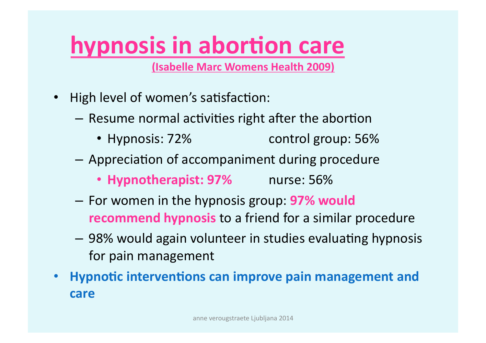# **hypnosis in abortion care**

**(Isabelle%Marc%Womens%Health%2009)**

- High level of women's satisfaction:
	- $-$  Resume normal activities right after the abortion
		- Hypnosis: 72% control group: 56%
	- $-$  Appreciation of accompaniment during procedure
		- **Hypnotherapist: 97%** nurse: 56%
	- For)women)in)the)hypnosis)group:)**97%%would%% recommend hypnosis** to a friend for a similar procedure
	- 98% would again volunteer in studies evaluating hypnosis for pain management
- Hypnotic interventions can improve pain management and **care**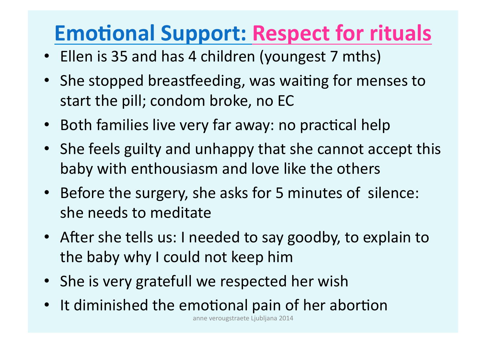### **Emotional Support: Respect for rituals**

- Ellen is 35 and has 4 children (youngest 7 mths)
- She stopped breastfeeding, was waiting for menses to start the pill; condom broke, no EC
- Both families live very far away: no practical help
- She feels guilty and unhappy that she cannot accept this baby with enthousiasm and love like the others
- Before the surgery, she asks for 5 minutes of silence: she needs to meditate
- After she tells us: I needed to say goodby, to explain to the baby why I could not keep him
- She is very gratefull we respected her wish
- It diminished the emotional pain of her abortion

anne verougstraete Ljubljana 2014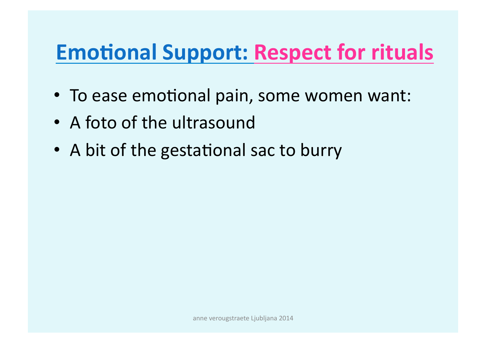### **Emotional Support: Respect for rituals**

- To ease emotional pain, some women want:
- A foto of the ultrasound
- A bit of the gestational sac to burry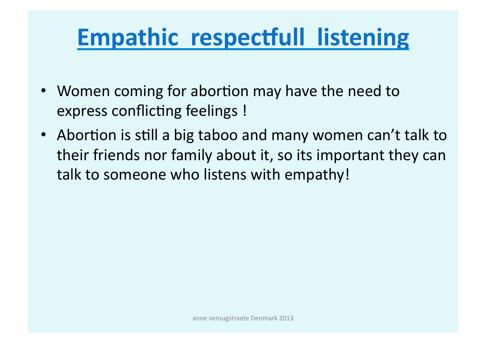# **Empathic respectfull listening**

- Women coming for abortion may have the need to express conflicting feelings !
- Abortion is still a big taboo and many women can't talk to their friends nor family about it, so its important they can talk to someone who listens with empathy!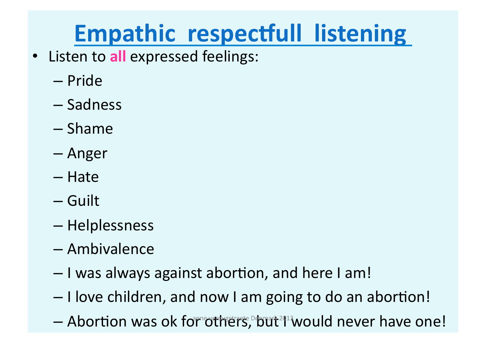# **Empathic respectfull listening**

- Listen to all expressed feelings:
	- Pride))
	- Sadness)
	- Shame)
	- Anger)
	- Hate)
	- Guilt)
	- Helplessness)
	- Ambivalence)
	- $-$  I was always against abortion, and here I am!
	- $-$  I love children, and now I am going to do an abortion!
	- Abortion was ok for others, but<sup>2013</sup> would never have one!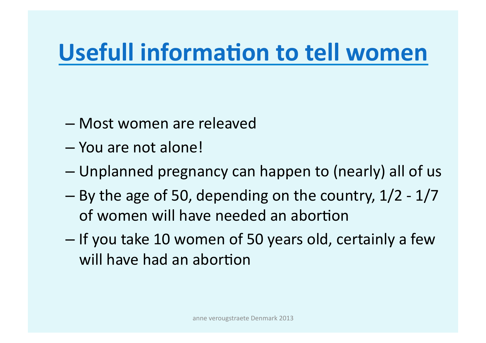# **Usefull information to tell women**

- Most women are releaved
- You are not alone!
- Unplanned pregnancy can happen to (nearly) all of us
- By the age of 50, depending on the country,  $1/2$   $1/7$ of women will have needed an abortion
- If you take 10 women of 50 years old, certainly a few will have had an abortion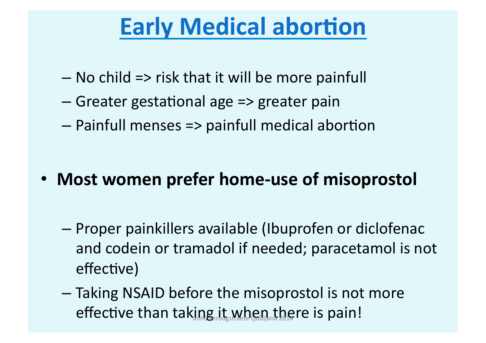### **Early Medical abortion**

- $-$  No child => risk that it will be more painfull
- $-$  Greater gestational age => greater pain
- $-$  Painfull menses => painfull medical abortion

- Most women prefer home-use of misoprostol
	- Proper painkillers available (Ibuprofen or diclofenac) and codein or tramadol if needed; paracetamol is not effective)
	- Taking NSAID before the misoprostol is not more effective than taking it when there is pain!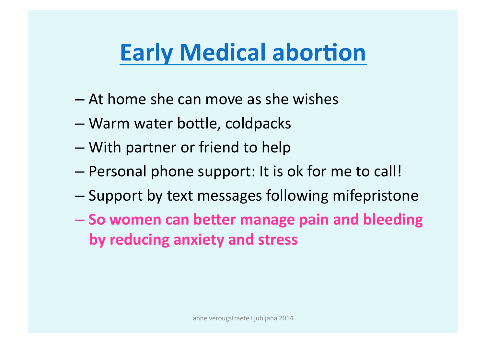# **Early Medical abortion**

- $-$  At home she can move as she wishes
- Warm water bottle, coldpacks
- With partner or friend to help
- Personal phone support: It is ok for me to call!
- Support by text messages following mifepristone
- $-$  So women can better manage pain and bleeding **by reducing anxiety and stress**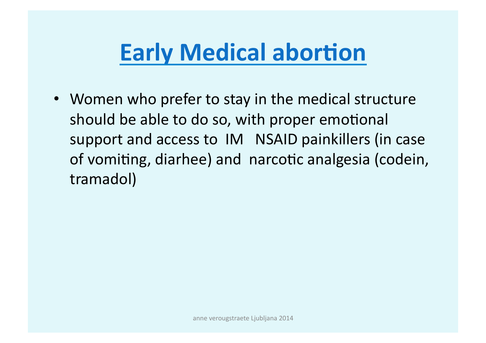# **Early Medical abortion**

• Women who prefer to stay in the medical structure should be able to do so, with proper emotional support and access to IM NSAID painkillers (in case) of vomiting, diarhee) and narcotic analgesia (codein, tramadol))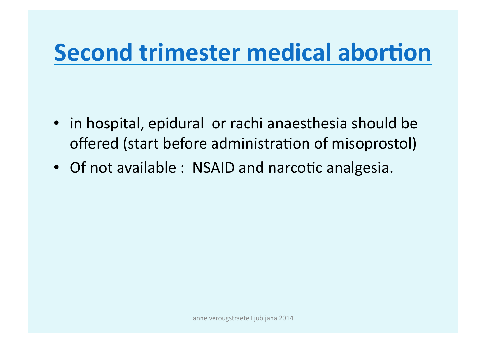### **Second trimester medical abortion**

- in hospital, epidural or rachi anaesthesia should be offered (start before administration of misoprostol)
- Of not available: NSAID and narcotic analgesia.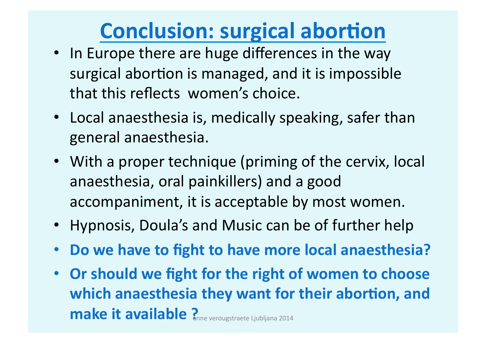### **Conclusion: surgical abortion**

- In Europe there are huge differences in the way surgical abortion is managed, and it is impossible that this reflects women's choice.
- Local anaesthesia is, medically speaking, safer than general anaesthesia.
- With a proper technique (priming of the cervix, local anaesthesia, oral painkillers) and a good accompaniment, it is acceptable by most women.
- Hypnosis, Doula's and Music can be of further help
- Do we have to fight to have more local anaesthesia?
- Or should we fight for the right of women to choose which anaesthesia they want for their abortion, and **make it available ? anne verougstraete Ljubljana** 2014